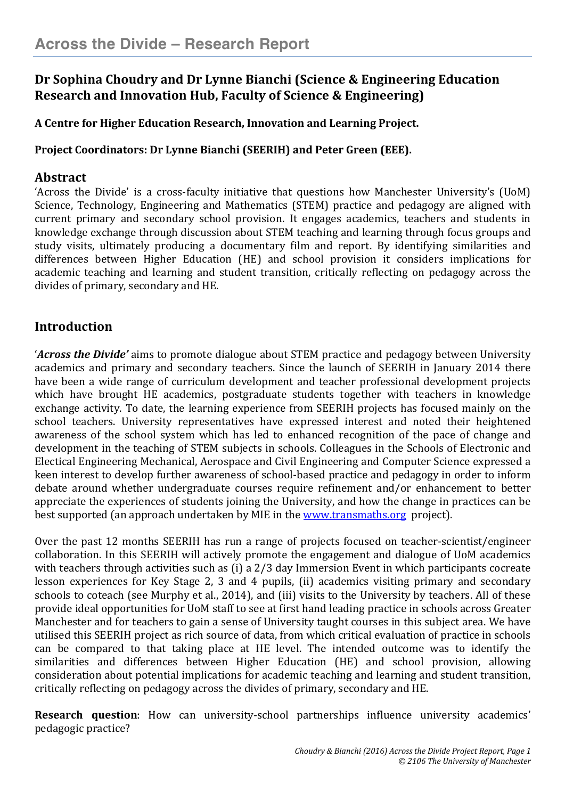# **Dr Sophina Choudry and Dr Lynne Bianchi (Science & Engineering Education Research and Innovation Hub, Faculty of Science & Engineering)**

## **A Centre for Higher Education Research, Innovation and Learning Project.**

## **Project Coordinators: Dr Lynne Bianchi (SEERIH) and Peter Green (EEE).**

## **Abstract**

'Across the Divide' is a cross-faculty initiative that questions how Manchester University's (UoM) Science, Technology, Engineering and Mathematics (STEM) practice and pedagogy are aligned with current primary and secondary school provision. It engages academics, teachers and students in knowledge exchange through discussion about STEM teaching and learning through focus groups and study visits, ultimately producing a documentary film and report. By identifying similarities and differences between Higher Education (HE) and school provision it considers implications for academic teaching and learning and student transition, critically reflecting on pedagogy across the divides of primary, secondary and HE.

# **Introduction**

'*Across the Divide'* aims to promote dialogue about STEM practice and pedagogy between University academics and primary and secondary teachers. Since the launch of SEERIH in January 2014 there have been a wide range of curriculum development and teacher professional development projects which have brought HE academics, postgraduate students together with teachers in knowledge exchange activity. To date, the learning experience from SEERIH projects has focused mainly on the school teachers. University representatives have expressed interest and noted their heightened awareness of the school system which has led to enhanced recognition of the pace of change and development in the teaching of STEM subjects in schools. Colleagues in the Schools of Electronic and Electical Engineering Mechanical, Aerospace and Civil Engineering and Computer Science expressed a keen interest to develop further awareness of school-based practice and pedagogy in order to inform debate around whether undergraduate courses require refinement and/or enhancement to better appreciate the experiences of students joining the University, and how the change in practices can be best supported (an approach undertaken by MIE in the www.transmaths.org project).

Over the past 12 months SEERIH has run a range of projects focused on teacher-scientist/engineer collaboration. In this SEERIH will actively promote the engagement and dialogue of UoM academics with teachers through activities such as (i) a 2/3 day Immersion Event in which participants cocreate lesson experiences for Key Stage 2, 3 and 4 pupils, (ii) academics visiting primary and secondary schools to coteach (see Murphy et al., 2014), and (iii) visits to the University by teachers. All of these provide ideal opportunities for UoM staff to see at first hand leading practice in schools across Greater Manchester and for teachers to gain a sense of University taught courses in this subject area. We have utilised this SEERIH project as rich source of data, from which critical evaluation of practice in schools can be compared to that taking place at HE level. The intended outcome was to identify the similarities and differences between Higher Education (HE) and school provision, allowing consideration about potential implications for academic teaching and learning and student transition, critically reflecting on pedagogy across the divides of primary, secondary and HE.

**Research question**: How can university-school partnerships influence university academics' pedagogic practice?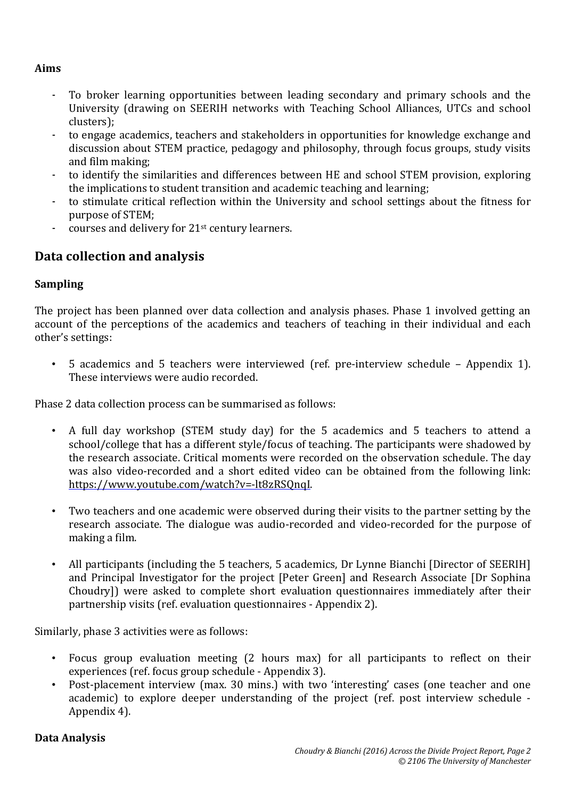#### **Aims**

- To broker learning opportunities between leading secondary and primary schools and the University (drawing on SEERIH networks with Teaching School Alliances, UTCs and school clusters);
- to engage academics, teachers and stakeholders in opportunities for knowledge exchange and discussion about STEM practice, pedagogy and philosophy, through focus groups, study visits and film making;
- to identify the similarities and differences between HE and school STEM provision, exploring the implications to student transition and academic teaching and learning;
- to stimulate critical reflection within the University and school settings about the fitness for purpose of STEM;
- courses and delivery for 21<sup>st</sup> century learners.

## **Data collection and analysis**

#### **Sampling**

The project has been planned over data collection and analysis phases. Phase 1 involved getting an account of the perceptions of the academics and teachers of teaching in their individual and each other's settings:

• 5 academics and 5 teachers were interviewed (ref. pre-interview schedule – Appendix 1). These interviews were audio recorded.

Phase 2 data collection process can be summarised as follows:

- A full day workshop (STEM study day) for the 5 academics and 5 teachers to attend a school/college that has a different style/focus of teaching. The participants were shadowed by the research associate. Critical moments were recorded on the observation schedule. The day was also video-recorded and a short edited video can be obtained from the following link: https://www.youtube.com/watch?v=-lt8zRSQnqI.
- Two teachers and one academic were observed during their visits to the partner setting by the research associate. The dialogue was audio-recorded and video-recorded for the purpose of making a film.
- All participants (including the 5 teachers, 5 academics, Dr Lynne Bianchi [Director of SEERIH] and Principal Investigator for the project [Peter Green] and Research Associate [Dr Sophina Choudry]) were asked to complete short evaluation questionnaires immediately after their partnership visits (ref. evaluation questionnaires - Appendix 2).

Similarly, phase 3 activities were as follows:

- Focus group evaluation meeting (2 hours max) for all participants to reflect on their experiences (ref. focus group schedule - Appendix 3).
- Post-placement interview (max. 30 mins.) with two 'interesting' cases (one teacher and one academic) to explore deeper understanding of the project (ref. post interview schedule - Appendix 4).

#### **Data Analysis**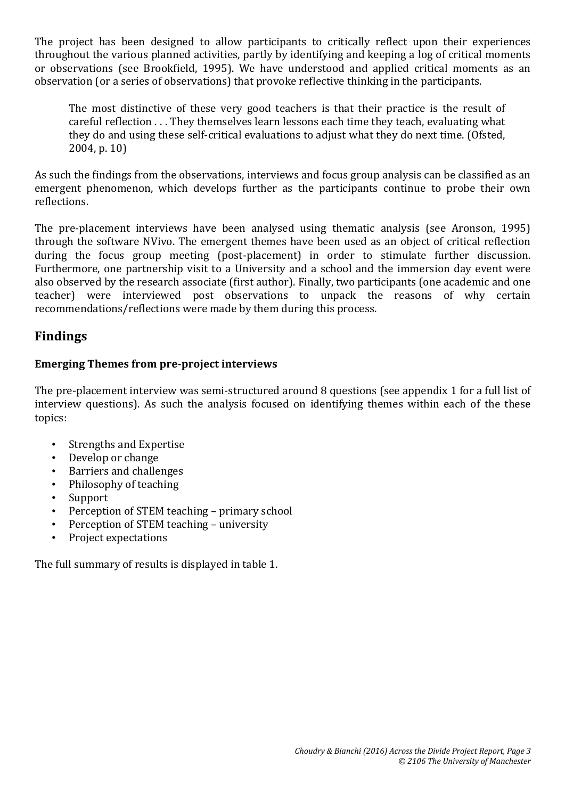The project has been designed to allow participants to critically reflect upon their experiences throughout the various planned activities, partly by identifying and keeping a log of critical moments or observations (see Brookfield, 1995). We have understood and applied critical moments as an observation (or a series of observations) that provoke reflective thinking in the participants.

The most distinctive of these very good teachers is that their practice is the result of careful reflection . . . They themselves learn lessons each time they teach, evaluating what they do and using these self-critical evaluations to adjust what they do next time. (Ofsted, 2004, p. 10)

As such the findings from the observations, interviews and focus group analysis can be classified as an emergent phenomenon, which develops further as the participants continue to probe their own reflections.

The pre-placement interviews have been analysed using thematic analysis (see Aronson, 1995) through the software NVivo. The emergent themes have been used as an object of critical reflection during the focus group meeting (post-placement) in order to stimulate further discussion. Furthermore, one partnership visit to a University and a school and the immersion day event were also observed by the research associate (first author). Finally, two participants (one academic and one teacher) were interviewed post observations to unpack the reasons of why certain recommendations/reflections were made by them during this process.

# **Findings**

## **Emerging Themes from pre-project interviews**

The pre-placement interview was semi-structured around 8 questions (see appendix 1 for a full list of interview questions). As such the analysis focused on identifying themes within each of the these topics:

- Strengths and Expertise
- Develop or change
- Barriers and challenges
- Philosophy of teaching
- Support
- Perception of STEM teaching primary school
- Perception of STEM teaching university
- Project expectations

The full summary of results is displayed in table 1.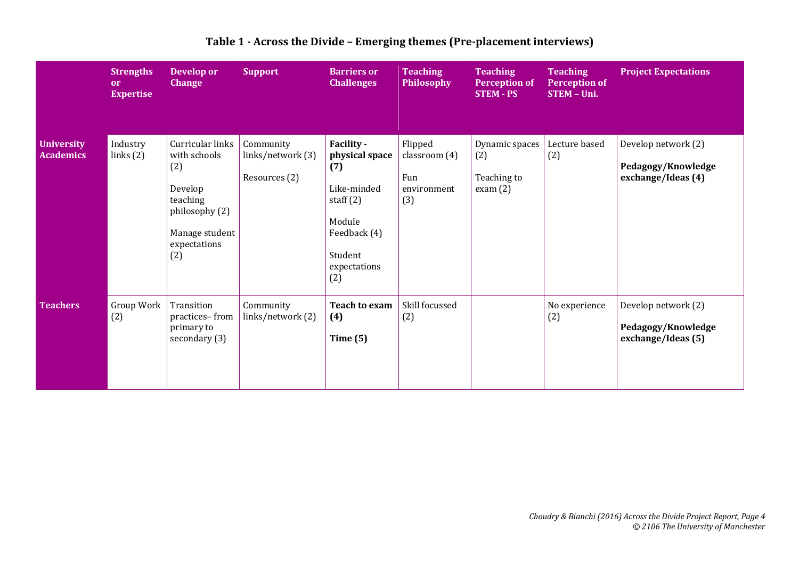|                                       | <b>Strengths</b><br>or<br><b>Expertise</b> | Develop or<br><b>Change</b>                                                                                               | <b>Support</b>                                  | <b>Barriers or</b><br><b>Challenges</b>                                                                                       | <b>Teaching</b><br><b>Philosophy</b>                  | <b>Teaching</b><br><b>Perception of</b><br><b>STEM - PS</b> | <b>Teaching</b><br><b>Perception of</b><br>STEM - Uni. | <b>Project Expectations</b>                                     |
|---------------------------------------|--------------------------------------------|---------------------------------------------------------------------------------------------------------------------------|-------------------------------------------------|-------------------------------------------------------------------------------------------------------------------------------|-------------------------------------------------------|-------------------------------------------------------------|--------------------------------------------------------|-----------------------------------------------------------------|
| <b>University</b><br><b>Academics</b> | Industry<br>links(2)                       | Curricular links<br>with schools<br>(2)<br>Develop<br>teaching<br>philosophy (2)<br>Manage student<br>expectations<br>(2) | Community<br>links/network (3)<br>Resources (2) | Facility -<br>physical space<br>(7)<br>Like-minded<br>staff $(2)$<br>Module<br>Feedback (4)<br>Student<br>expectations<br>(2) | Flipped<br>classroom (4)<br>Fun<br>environment<br>(3) | Dynamic spaces<br>(2)<br>Teaching to<br>exam(2)             | Lecture based<br>(2)                                   | Develop network (2)<br>Pedagogy/Knowledge<br>exchange/Ideas (4) |
| <b>Teachers</b>                       | Group Work<br>(2)                          | Transition<br>practices-from<br>primary to<br>secondary (3)                                                               | Community<br>links/network (2)                  | <b>Teach to exam</b><br>(4)<br>Time $(5)$                                                                                     | Skill focussed<br>(2)                                 |                                                             | No experience<br>(2)                                   | Develop network (2)<br>Pedagogy/Knowledge<br>exchange/Ideas (5) |

### **Table 1 - Across the Divide – Emerging themes (Pre-placement interviews)**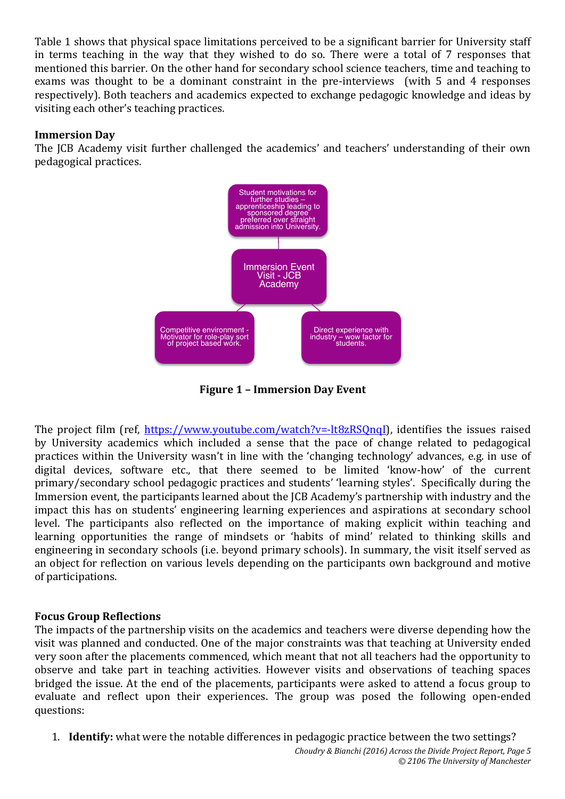Table 1 shows that physical space limitations perceived to be a significant barrier for University staff in terms teaching in the way that they wished to do so. There were a total of 7 responses that mentioned this barrier. On the other hand for secondary school science teachers, time and teaching to exams was thought to be a dominant constraint in the pre-interviews (with 5 and 4 responses respectively). Both teachers and academics expected to exchange pedagogic knowledge and ideas by visiting each other's teaching practices.

#### **Immersion Day**

The JCB Academy visit further challenged the academics' and teachers' understanding of their own pedagogical practices.



**Figure 1 – Immersion Day Event**

The project film (ref, https://www.youtube.com/watch?v=-lt8zRSQnqI), identifies the issues raised by University academics which included a sense that the pace of change related to pedagogical practices within the University wasn't in line with the 'changing technology' advances, e.g. in use of digital devices, software etc., that there seemed to be limited 'know-how' of the current primary/secondary school pedagogic practices and students' 'learning styles'. Specifically during the Immersion event, the participants learned about the JCB Academy's partnership with industry and the impact this has on students' engineering learning experiences and aspirations at secondary school level. The participants also reflected on the importance of making explicit within teaching and learning opportunities the range of mindsets or 'habits of mind' related to thinking skills and engineering in secondary schools (i.e. beyond primary schools). In summary, the visit itself served as an object for reflection on various levels depending on the participants own background and motive of participations.

#### **Focus Group Reflections**

The impacts of the partnership visits on the academics and teachers were diverse depending how the visit was planned and conducted. One of the major constraints was that teaching at University ended very soon after the placements commenced, which meant that not all teachers had the opportunity to observe and take part in teaching activities. However visits and observations of teaching spaces bridged the issue. At the end of the placements, participants were asked to attend a focus group to evaluate and reflect upon their experiences. The group was posed the following open-ended questions:

1. **Identify:** what were the notable differences in pedagogic practice between the two settings?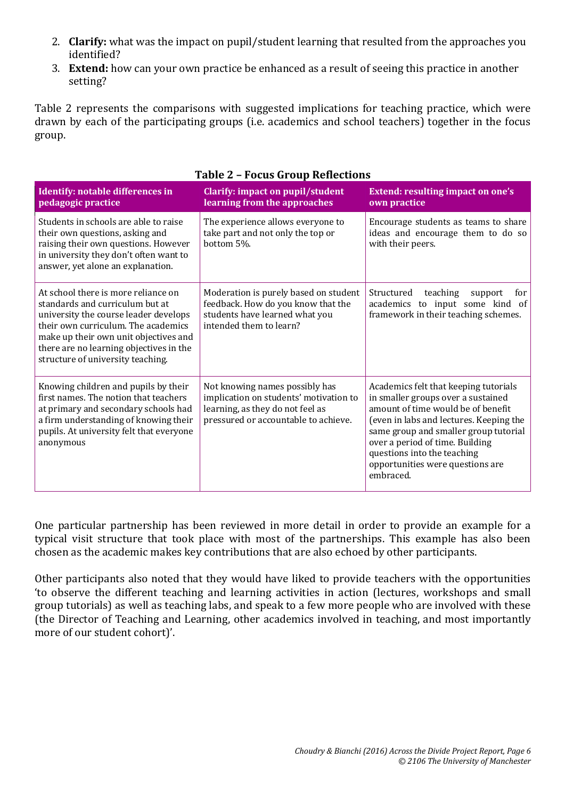- 2. **Clarify:** what was the impact on pupil/student learning that resulted from the approaches you identified?
- 3. **Extend:** how can your own practice be enhanced as a result of seeing this practice in another setting?

Table 2 represents the comparisons with suggested implications for teaching practice, which were drawn by each of the participating groups (i.e. academics and school teachers) together in the focus group.

| Identify: notable differences in<br>pedagogic practice                                                                                                                                                                                                                          | Clarify: impact on pupil/student<br>learning from the approaches                                                                                     | <b>Extend: resulting impact on one's</b><br>own practice                                                                                                                                                                                                                                                                 |
|---------------------------------------------------------------------------------------------------------------------------------------------------------------------------------------------------------------------------------------------------------------------------------|------------------------------------------------------------------------------------------------------------------------------------------------------|--------------------------------------------------------------------------------------------------------------------------------------------------------------------------------------------------------------------------------------------------------------------------------------------------------------------------|
| Students in schools are able to raise<br>their own questions, asking and<br>raising their own questions. However<br>in university they don't often want to<br>answer, yet alone an explanation.                                                                                 | The experience allows everyone to<br>take part and not only the top or<br>bottom 5%.                                                                 | Encourage students as teams to share<br>ideas and encourage them to do so<br>with their peers.                                                                                                                                                                                                                           |
| At school there is more reliance on<br>standards and curriculum but at<br>university the course leader develops<br>their own curriculum. The academics<br>make up their own unit objectives and<br>there are no learning objectives in the<br>structure of university teaching. | Moderation is purely based on student<br>feedback. How do you know that the<br>students have learned what you<br>intended them to learn?             | Structured<br>teaching<br>for<br>support<br>academics to input some kind of<br>framework in their teaching schemes.                                                                                                                                                                                                      |
| Knowing children and pupils by their<br>first names. The notion that teachers<br>at primary and secondary schools had<br>a firm understanding of knowing their<br>pupils. At university felt that everyone<br>anonymous                                                         | Not knowing names possibly has<br>implication on students' motivation to<br>learning, as they do not feel as<br>pressured or accountable to achieve. | Academics felt that keeping tutorials<br>in smaller groups over a sustained<br>amount of time would be of benefit<br>(even in labs and lectures. Keeping the<br>same group and smaller group tutorial<br>over a period of time. Building<br>questions into the teaching<br>opportunities were questions are<br>embraced. |

#### **Table 2 – Focus Group Reflections**

One particular partnership has been reviewed in more detail in order to provide an example for a typical visit structure that took place with most of the partnerships. This example has also been chosen as the academic makes key contributions that are also echoed by other participants.

Other participants also noted that they would have liked to provide teachers with the opportunities 'to observe the different teaching and learning activities in action (lectures, workshops and small group tutorials) as well as teaching labs, and speak to a few more people who are involved with these (the Director of Teaching and Learning, other academics involved in teaching, and most importantly more of our student cohort)'.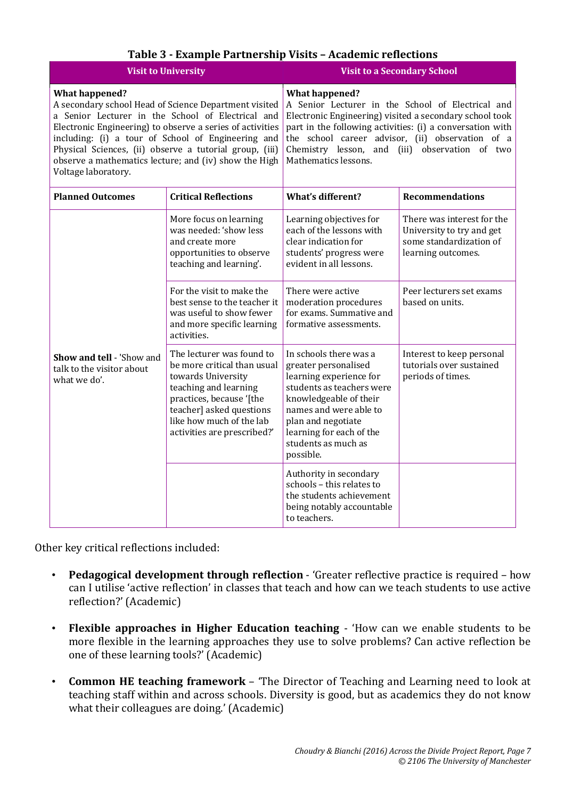|                                                                                                                                                                                                                                                                                                                                                                                                   | <b>Visit to University</b>                                                                                                                                                                                                 | <b>Visit to a Secondary School</b>                                                                                                                                                                                                                                                                                               |                                                                                                          |  |
|---------------------------------------------------------------------------------------------------------------------------------------------------------------------------------------------------------------------------------------------------------------------------------------------------------------------------------------------------------------------------------------------------|----------------------------------------------------------------------------------------------------------------------------------------------------------------------------------------------------------------------------|----------------------------------------------------------------------------------------------------------------------------------------------------------------------------------------------------------------------------------------------------------------------------------------------------------------------------------|----------------------------------------------------------------------------------------------------------|--|
| <b>What happened?</b><br>A secondary school Head of Science Department visited<br>a Senior Lecturer in the School of Electrical and<br>Electronic Engineering) to observe a series of activities<br>including: (i) a tour of School of Engineering and<br>Physical Sciences, (ii) observe a tutorial group, (iii)<br>observe a mathematics lecture; and (iv) show the High<br>Voltage laboratory. |                                                                                                                                                                                                                            | <b>What happened?</b><br>A Senior Lecturer in the School of Electrical and<br>Electronic Engineering) visited a secondary school took<br>part in the following activities: (i) a conversation with<br>the school career advisor, (ii) observation of a<br>Chemistry lesson, and (iii) observation of two<br>Mathematics lessons. |                                                                                                          |  |
| <b>Planned Outcomes</b>                                                                                                                                                                                                                                                                                                                                                                           | <b>Critical Reflections</b>                                                                                                                                                                                                | <b>What's different?</b>                                                                                                                                                                                                                                                                                                         | <b>Recommendations</b>                                                                                   |  |
|                                                                                                                                                                                                                                                                                                                                                                                                   | More focus on learning<br>was needed: 'show less<br>and create more<br>opportunities to observe<br>teaching and learning'.                                                                                                 | Learning objectives for<br>each of the lessons with<br>clear indication for<br>students' progress were<br>evident in all lessons.                                                                                                                                                                                                | There was interest for the<br>University to try and get<br>some standardization of<br>learning outcomes. |  |
|                                                                                                                                                                                                                                                                                                                                                                                                   | For the visit to make the<br>best sense to the teacher it<br>was useful to show fewer<br>and more specific learning<br>activities.                                                                                         | There were active<br>moderation procedures<br>for exams. Summative and<br>formative assessments.                                                                                                                                                                                                                                 | Peer lecturers set exams<br>based on units.                                                              |  |
| Show and tell - 'Show and<br>talk to the visitor about<br>what we do'.                                                                                                                                                                                                                                                                                                                            | The lecturer was found to<br>be more critical than usual<br>towards University<br>teaching and learning<br>practices, because '[the<br>teacher] asked questions<br>like how much of the lab<br>activities are prescribed?' | In schools there was a<br>greater personalised<br>learning experience for<br>students as teachers were<br>knowledgeable of their<br>names and were able to<br>plan and negotiate<br>learning for each of the<br>students as much as<br>possible.                                                                                 | Interest to keep personal<br>tutorials over sustained<br>periods of times.                               |  |
|                                                                                                                                                                                                                                                                                                                                                                                                   |                                                                                                                                                                                                                            | Authority in secondary<br>schools - this relates to<br>the students achievement<br>being notably accountable<br>to teachers.                                                                                                                                                                                                     |                                                                                                          |  |

Other key critical reflections included:

- **Pedagogical development through reflection** 'Greater reflective practice is required how can I utilise 'active reflection' in classes that teach and how can we teach students to use active reflection?' (Academic)
- **Flexible approaches in Higher Education teaching** 'How can we enable students to be more flexible in the learning approaches they use to solve problems? Can active reflection be one of these learning tools?' (Academic)
- **Common HE teaching framework** 'The Director of Teaching and Learning need to look at teaching staff within and across schools. Diversity is good, but as academics they do not know what their colleagues are doing.' (Academic)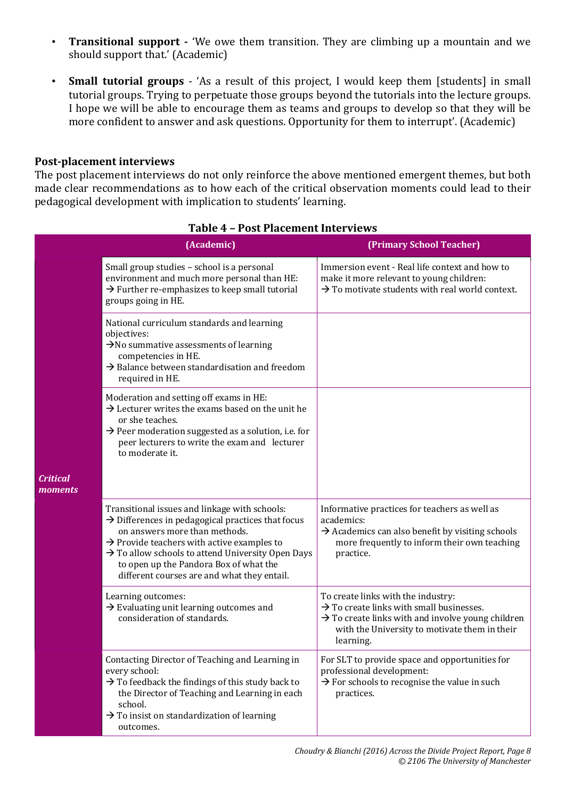- **Transitional support -** 'We owe them transition. They are climbing up a mountain and we should support that.' (Academic)
- **Small tutorial groups** 'As a result of this project, I would keep them [students] in small tutorial groups. Trying to perpetuate those groups beyond the tutorials into the lecture groups. I hope we will be able to encourage them as teams and groups to develop so that they will be more confident to answer and ask questions. Opportunity for them to interrupt'. (Academic)

#### **Post-placement interviews**

The post placement interviews do not only reinforce the above mentioned emergent themes, but both made clear recommendations as to how each of the critical observation moments could lead to their pedagogical development with implication to students' learning.

|                            | (Academic)                                                                                                                                                                                                                                                                                                                                              | (Primary School Teacher)                                                                                                                                                                                                  |
|----------------------------|---------------------------------------------------------------------------------------------------------------------------------------------------------------------------------------------------------------------------------------------------------------------------------------------------------------------------------------------------------|---------------------------------------------------------------------------------------------------------------------------------------------------------------------------------------------------------------------------|
|                            | Small group studies - school is a personal<br>environment and much more personal than HE:<br>$\rightarrow$ Further re-emphasizes to keep small tutorial<br>groups going in HE.                                                                                                                                                                          | Immersion event - Real life context and how to<br>make it more relevant to young children:<br>$\rightarrow$ To motivate students with real world context.                                                                 |
|                            | National curriculum standards and learning<br>objectives:<br>$\rightarrow$ No summative assessments of learning<br>competencies in HE.<br>$\rightarrow$ Balance between standardisation and freedom<br>required in HE.                                                                                                                                  |                                                                                                                                                                                                                           |
|                            | Moderation and setting off exams in HE:<br>$\rightarrow$ Lecturer writes the exams based on the unit he<br>or she teaches.<br>$\rightarrow$ Peer moderation suggested as a solution, i.e. for<br>peer lecturers to write the exam and lecturer<br>to moderate it.                                                                                       |                                                                                                                                                                                                                           |
| <b>Critical</b><br>moments |                                                                                                                                                                                                                                                                                                                                                         |                                                                                                                                                                                                                           |
|                            | Transitional issues and linkage with schools:<br>$\rightarrow$ Differences in pedagogical practices that focus<br>on answers more than methods.<br>$\rightarrow$ Provide teachers with active examples to<br>> To allow schools to attend University Open Days<br>to open up the Pandora Box of what the<br>different courses are and what they entail. | Informative practices for teachers as well as<br>academics:<br>$\rightarrow$ Academics can also benefit by visiting schools<br>more frequently to inform their own teaching<br>practice.                                  |
|                            | Learning outcomes:<br>$\rightarrow$ Evaluating unit learning outcomes and<br>consideration of standards.                                                                                                                                                                                                                                                | To create links with the industry:<br>$\rightarrow$ To create links with small businesses.<br>$\rightarrow$ To create links with and involve young children<br>with the University to motivate them in their<br>learning. |
|                            | Contacting Director of Teaching and Learning in<br>every school:<br>$\rightarrow$ To feedback the findings of this study back to<br>the Director of Teaching and Learning in each<br>school.<br>$\rightarrow$ To insist on standardization of learning<br>outcomes.                                                                                     | For SLT to provide space and opportunities for<br>professional development:<br>$\rightarrow$ For schools to recognise the value in such<br>practices.                                                                     |

#### **Table 4 – Post Placement Interviews**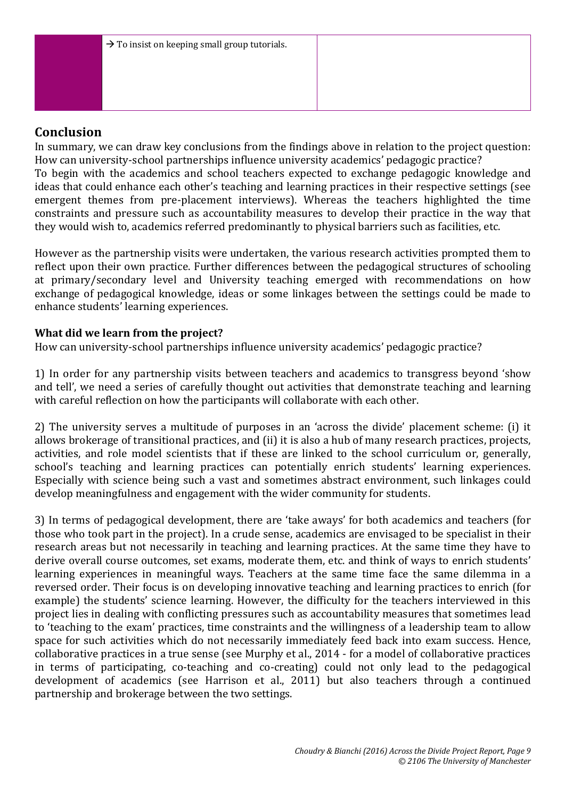## **Conclusion**

In summary, we can draw key conclusions from the findings above in relation to the project question: How can university-school partnerships influence university academics' pedagogic practice? To begin with the academics and school teachers expected to exchange pedagogic knowledge and ideas that could enhance each other's teaching and learning practices in their respective settings (see emergent themes from pre-placement interviews). Whereas the teachers highlighted the time constraints and pressure such as accountability measures to develop their practice in the way that they would wish to, academics referred predominantly to physical barriers such as facilities, etc.

However as the partnership visits were undertaken, the various research activities prompted them to reflect upon their own practice. Further differences between the pedagogical structures of schooling at primary/secondary level and University teaching emerged with recommendations on how exchange of pedagogical knowledge, ideas or some linkages between the settings could be made to enhance students' learning experiences.

#### **What did we learn from the project?**

How can university-school partnerships influence university academics' pedagogic practice?

1) In order for any partnership visits between teachers and academics to transgress beyond 'show and tell', we need a series of carefully thought out activities that demonstrate teaching and learning with careful reflection on how the participants will collaborate with each other.

2) The university serves a multitude of purposes in an 'across the divide' placement scheme: (i) it allows brokerage of transitional practices, and (ii) it is also a hub of many research practices, projects, activities, and role model scientists that if these are linked to the school curriculum or, generally, school's teaching and learning practices can potentially enrich students' learning experiences. Especially with science being such a vast and sometimes abstract environment, such linkages could develop meaningfulness and engagement with the wider community for students.

3) In terms of pedagogical development, there are 'take aways' for both academics and teachers (for those who took part in the project). In a crude sense, academics are envisaged to be specialist in their research areas but not necessarily in teaching and learning practices. At the same time they have to derive overall course outcomes, set exams, moderate them, etc. and think of ways to enrich students' learning experiences in meaningful ways. Teachers at the same time face the same dilemma in a reversed order. Their focus is on developing innovative teaching and learning practices to enrich (for example) the students' science learning. However, the difficulty for the teachers interviewed in this project lies in dealing with conflicting pressures such as accountability measures that sometimes lead to 'teaching to the exam' practices, time constraints and the willingness of a leadership team to allow space for such activities which do not necessarily immediately feed back into exam success. Hence, collaborative practices in a true sense (see Murphy et al., 2014 - for a model of collaborative practices in terms of participating, co-teaching and co-creating) could not only lead to the pedagogical development of academics (see Harrison et al., 2011) but also teachers through a continued partnership and brokerage between the two settings.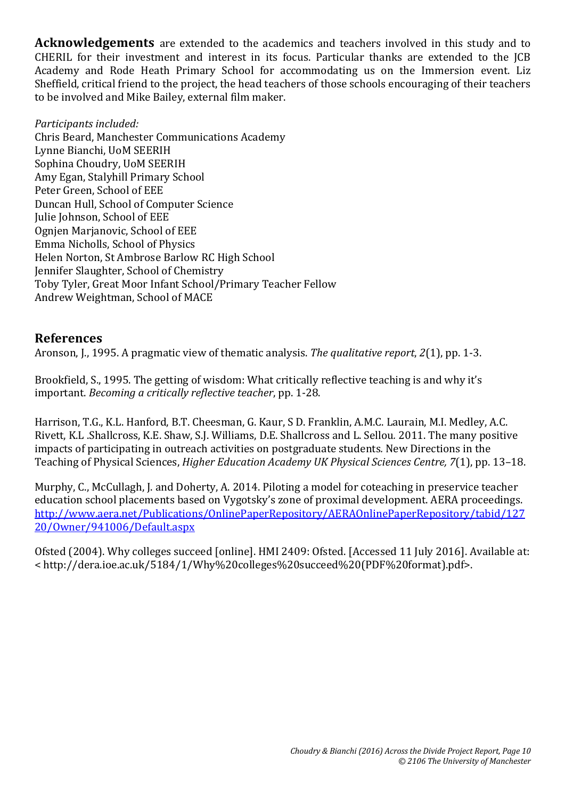**Acknowledgements** are extended to the academics and teachers involved in this study and to CHERIL for their investment and interest in its focus. Particular thanks are extended to the JCB Academy and Rode Heath Primary School for accommodating us on the Immersion event. Liz Sheffield, critical friend to the project, the head teachers of those schools encouraging of their teachers to be involved and Mike Bailey, external film maker.

*Participants included:* Chris Beard, Manchester Communications Academy Lynne Bianchi, UoM SEERIH Sophina Choudry, UoM SEERIH Amy Egan, Stalyhill Primary School Peter Green, School of EEE Duncan Hull, School of Computer Science Julie Johnson, School of EEE Ognjen Marjanovic, School of EEE Emma Nicholls, School of Physics Helen Norton, St Ambrose Barlow RC High School Jennifer Slaughter, School of Chemistry Toby Tyler, Great Moor Infant School/Primary Teacher Fellow Andrew Weightman, School of MACE

## **References**

Aronson, J., 1995. A pragmatic view of thematic analysis. *The qualitative report*, *2*(1), pp. 1-3.

Brookfield, S., 1995. The getting of wisdom: What critically reflective teaching is and why it's important. *Becoming a critically reflective teacher*, pp. 1-28.

Harrison, T.G., K.L. Hanford, B.T. Cheesman, G. Kaur, S D. Franklin, A.M.C. Laurain, M.I. Medley, A.C. Rivett, K.L .Shallcross, K.E. Shaw, S.J. Williams, D.E. Shallcross and L. Sellou*.* 2011. The many positive impacts of participating in outreach activities on postgraduate students*.* New Directions in the Teaching of Physical Sciences, *Higher Education Academy UK Physical Sciences Centre, 7*(1), pp. 13–18.

Murphy, C., McCullagh, J. and Doherty, A. 2014. Piloting a model for coteaching in preservice teacher education school placements based on Vygotsky's zone of proximal development. AERA proceedings. http://www.aera.net/Publications/OnlinePaperRepository/AERAOnlinePaperRepository/tabid/127 20/Owner/941006/Default.aspx

Ofsted (2004). Why colleges succeed [online]. HMI 2409: Ofsted. [Accessed 11 July 2016]. Available at: < http://dera.ioe.ac.uk/5184/1/Why%20colleges%20succeed%20(PDF%20format).pdf>.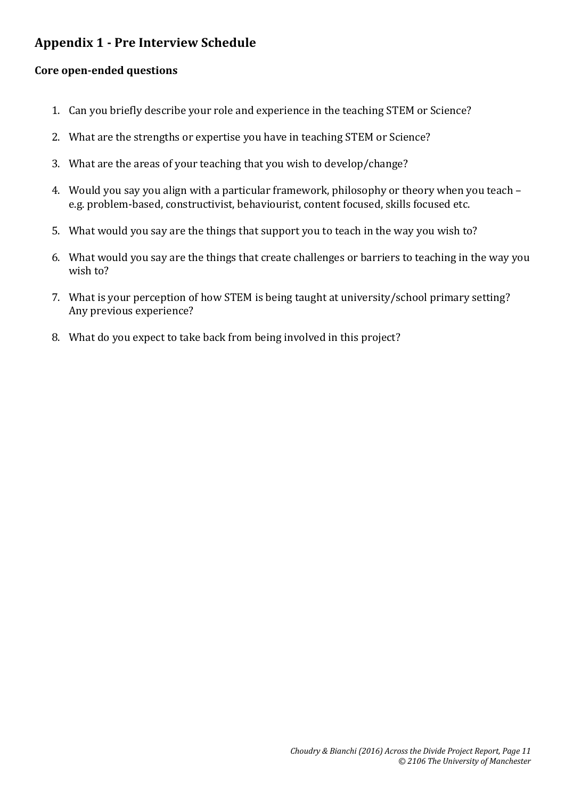# **Appendix 1 - Pre Interview Schedule**

#### **Core open-ended questions**

- 1. Can you briefly describe your role and experience in the teaching STEM or Science?
- 2. What are the strengths or expertise you have in teaching STEM or Science?
- 3. What are the areas of your teaching that you wish to develop/change?
- 4. Would you say you align with a particular framework, philosophy or theory when you teach e.g. problem-based, constructivist, behaviourist, content focused, skills focused etc.
- 5. What would you say are the things that support you to teach in the way you wish to?
- 6. What would you say are the things that create challenges or barriers to teaching in the way you wish to?
- 7. What is your perception of how STEM is being taught at university/school primary setting? Any previous experience?
- 8. What do you expect to take back from being involved in this project?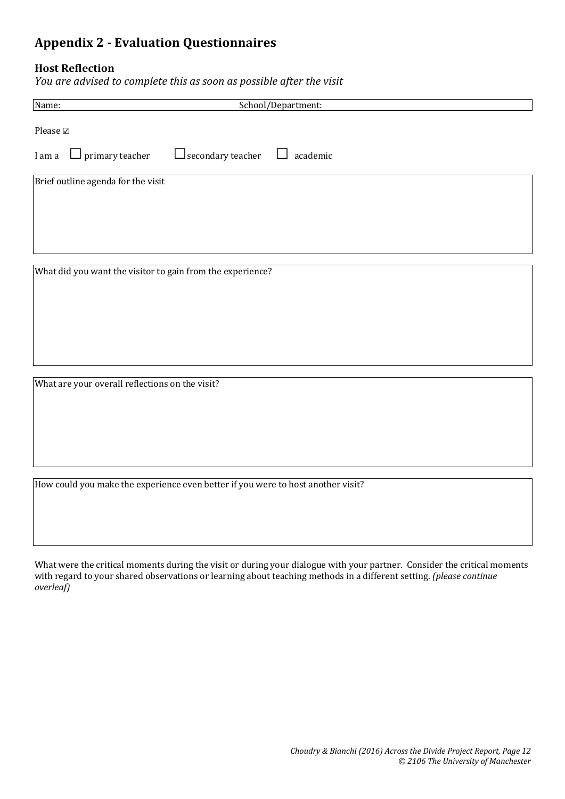# **Appendix 2 - Evaluation Questionnaires**

#### **Host Reflection**

*You are advised to complete this as soon as possible after the visit*

| Name:                                                      |                          | School/Department: |
|------------------------------------------------------------|--------------------------|--------------------|
| Please $\boxtimes$                                         |                          |                    |
| I am a $\Box$ primary teacher                              | $\Box$ secondary teacher | ⊔<br>academic      |
| Brief outline agenda for the visit                         |                          |                    |
| What did you want the visitor to gain from the experience? |                          |                    |

What are your overall reflections on the visit?

How could you make the experience even better if you were to host another visit?

What were the critical moments during the visit or during your dialogue with your partner. Consider the critical moments with regard to your shared observations or learning about teaching methods in a different setting. *(please continue overleaf)*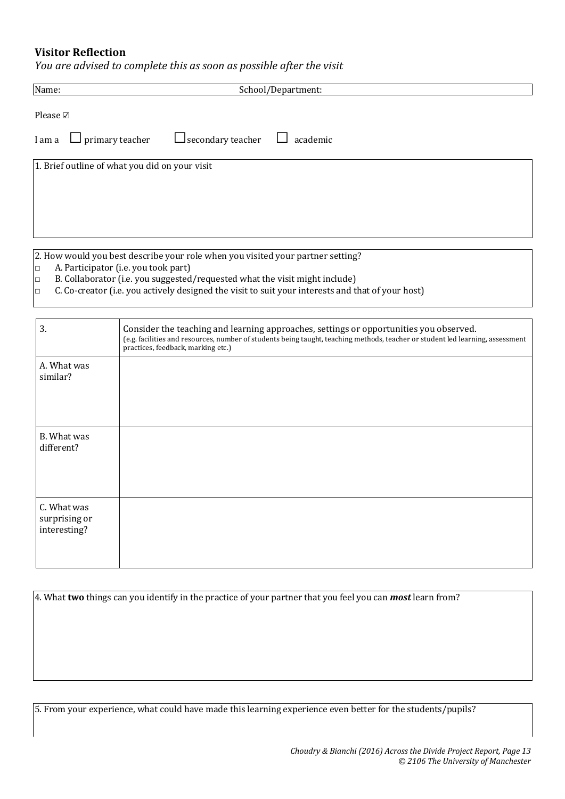#### **Visitor Reflection**

*You are advised to complete this as soon as possible after the visit*

| Name:              |                                                | School/Department:                                                              |  |
|--------------------|------------------------------------------------|---------------------------------------------------------------------------------|--|
| Please $\boxtimes$ |                                                |                                                                                 |  |
|                    | I am a $\Box$ primary teacher                  | $\Box$ secondary teacher<br>academic<br>$\Box$                                  |  |
|                    | 1. Brief outline of what you did on your visit |                                                                                 |  |
|                    |                                                | 2. How would you best describe your role when you visited your partner setting? |  |

- $\Box$  A. Participator (i.e. you took part)
- $\Box$  B. Collaborator (i.e. you suggested/requested what the visit might include)
- $\Box$  C. Co-creator (i.e. you actively designed the visit to suit your interests and that of your host)

| 3.                                           | Consider the teaching and learning approaches, settings or opportunities you observed.<br>(e.g. facilities and resources, number of students being taught, teaching methods, teacher or student led learning, assessment<br>practices, feedback, marking etc.) |
|----------------------------------------------|----------------------------------------------------------------------------------------------------------------------------------------------------------------------------------------------------------------------------------------------------------------|
| A. What was<br>similar?                      |                                                                                                                                                                                                                                                                |
| B. What was<br>different?                    |                                                                                                                                                                                                                                                                |
| C. What was<br>surprising or<br>interesting? |                                                                                                                                                                                                                                                                |

4. What **two** things can you identify in the practice of your partner that you feel you can *most* learn from?

5. From your experience, what could have made this learning experience even better for the students/pupils?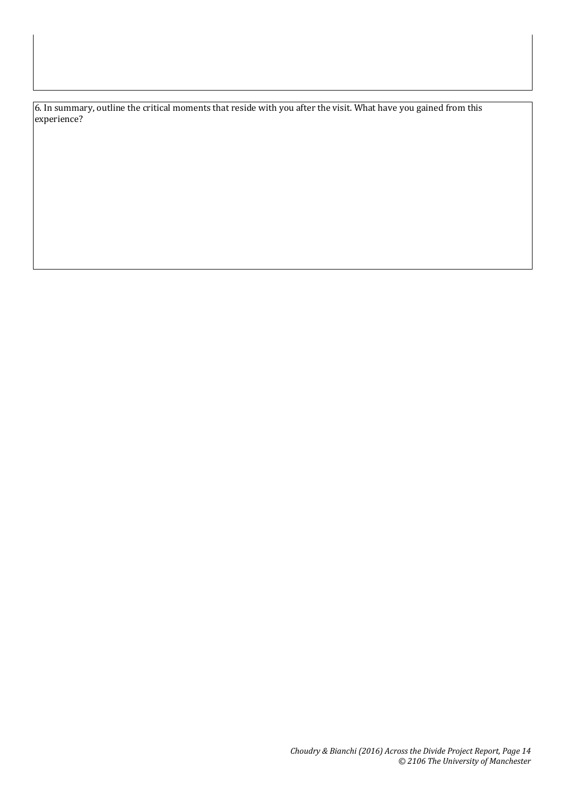6. In summary, outline the critical moments that reside with you after the visit. What have you gained from this experience?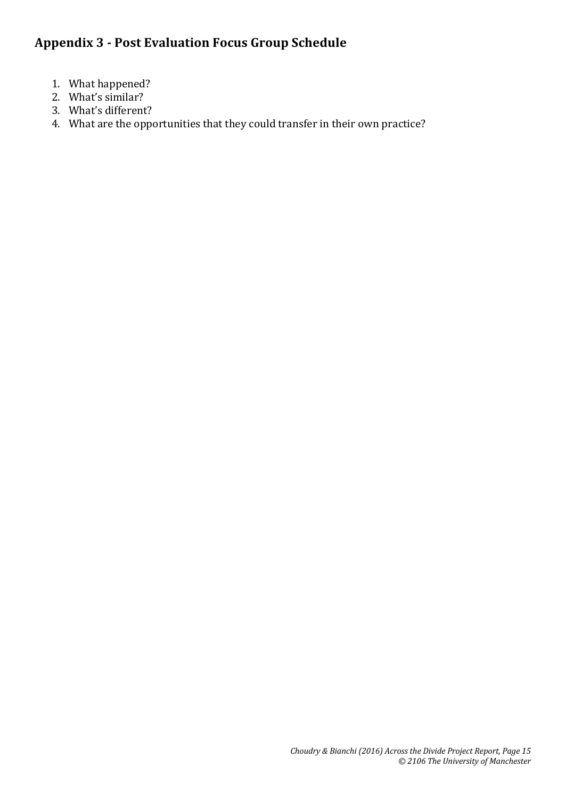# **Appendix 3 - Post Evaluation Focus Group Schedule**

- 1. What happened?
- 2. What's similar?
- 3. What's different?
- 4. What are the opportunities that they could transfer in their own practice?